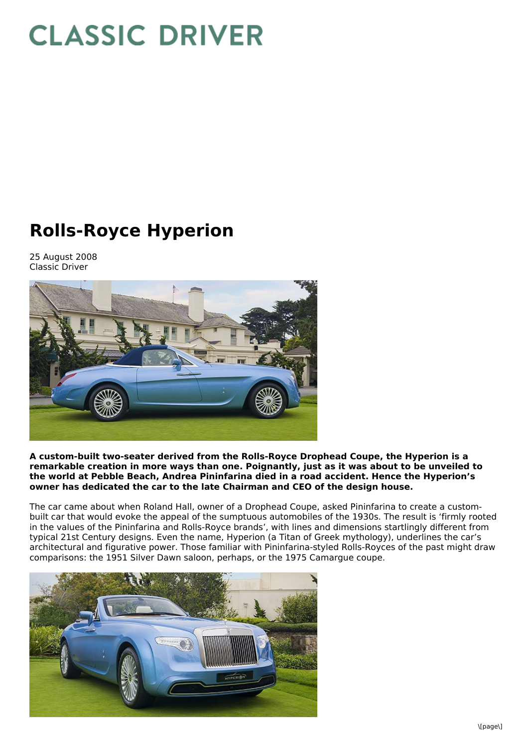## **CLASSIC DRIVER**

## **Rolls-Royce Hyperion**

25 August 2008 Classic Driver



**A custom-built two-seater derived from the Rolls-Royce Drophead Coupe, the Hyperion is a remarkable creation in more ways than one. Poignantly, just as it was about to be unveiled to the world at Pebble Beach, Andrea Pininfarina died in a road accident. Hence the Hyperion's owner has dedicated the car to the late Chairman and CEO of the design house.**

The car came about when Roland Hall, owner of a Drophead Coupe, asked Pininfarina to create a custombuilt car that would evoke the appeal of the sumptuous automobiles of the 1930s. The result is 'firmly rooted in the values of the Pininfarina and Rolls-Royce brands', with lines and dimensions startlingly different from typical 21st Century designs. Even the name, Hyperion (a Titan of Greek mythology), underlines the car's architectural and figurative power. Those familiar with Pininfarina-styled Rolls-Royces of the past might draw comparisons: the 1951 Silver Dawn saloon, perhaps, or the 1975 Camargue coupe.